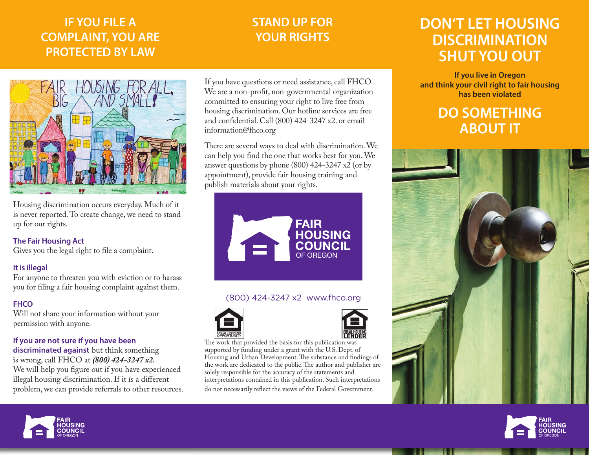## **IF YOU FILE A COMPLAINT, YOU ARE PROTECTED BY LAW**

## **STAND UP FOR YOUR RIGHTS**



Housing discrimination occurs everyday. Much of it is never reported. To create change, we need to stand up for our rights.

#### **The Fair Housing Act**

Gives you the legal right to file a complaint.

### **It is illegal**

For anyone to threaten you with eviction or to harass you for filing a fair housing complaint against them.

### **FHCO**

Will not share your information without your permission with anyone.

### **If you are not sure if you have been**

**discriminated against** but think something is wrong, call FHCO at *(800) 424-3247 x2.*  We will help you figure out if you have experienced illegal housing discrimination. If it is a different problem, we can provide referrals to other resources. If you have questions or need assistance, call FHCO. We are a non-profit, non-governmental organization committed to ensuring your right to live free from housing discrimination. Our hotline services are free and confidential. Call (800) 424-3247 x2. or email information@fhco.org

There are several ways to deal with discrimination. We can help you find the one that works best for you. We answer questions by phone (800) 424-3247 x2 (or by appointment), provide fair housing training and publish materials about your rights.



### (800) 424-3247 x2 www.fhco.org





The work that provided the basis for this publication was supported by funding under a grant with the U.S. Dept. of Housing and Urban Development. The substance and findings of the work are dedicated to the public. The author and publisher are solely responsible for the accuracy of the statements and interpretations contained in this publication. Such interpretations do not necessarily reflect the views of the Federal Government.

## **DON'T LET HOUSING DISCRIMINATION SHUT YOU OUT**

**If you live in Oregon and think your civil right to fair housing has been violated**

## **DO SOMETHING ABOUT IT**